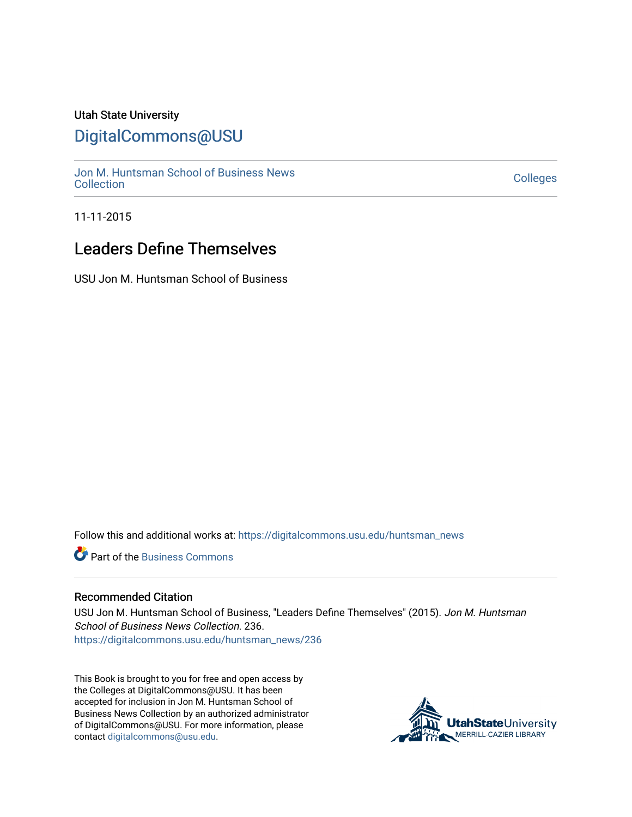### Utah State University

## [DigitalCommons@USU](https://digitalcommons.usu.edu/)

[Jon M. Huntsman School of Business News](https://digitalcommons.usu.edu/huntsman_news)  Soft M. Huntsman School of Business News<br>[Collection](https://digitalcommons.usu.edu/huntsman_news) Colleges

11-11-2015

## Leaders Define Themselves

USU Jon M. Huntsman School of Business

Follow this and additional works at: [https://digitalcommons.usu.edu/huntsman\\_news](https://digitalcommons.usu.edu/huntsman_news?utm_source=digitalcommons.usu.edu%2Fhuntsman_news%2F236&utm_medium=PDF&utm_campaign=PDFCoverPages) 

**C** Part of the [Business Commons](http://network.bepress.com/hgg/discipline/622?utm_source=digitalcommons.usu.edu%2Fhuntsman_news%2F236&utm_medium=PDF&utm_campaign=PDFCoverPages)

#### Recommended Citation

USU Jon M. Huntsman School of Business, "Leaders Define Themselves" (2015). Jon M. Huntsman School of Business News Collection. 236. [https://digitalcommons.usu.edu/huntsman\\_news/236](https://digitalcommons.usu.edu/huntsman_news/236?utm_source=digitalcommons.usu.edu%2Fhuntsman_news%2F236&utm_medium=PDF&utm_campaign=PDFCoverPages) 

This Book is brought to you for free and open access by the Colleges at DigitalCommons@USU. It has been accepted for inclusion in Jon M. Huntsman School of Business News Collection by an authorized administrator of DigitalCommons@USU. For more information, please contact [digitalcommons@usu.edu](mailto:digitalcommons@usu.edu).

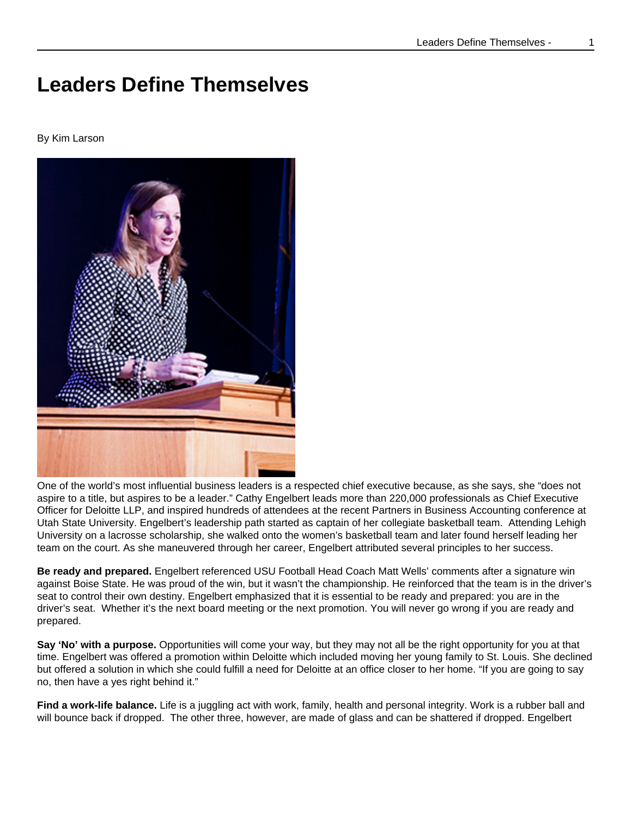# **Leaders Define Themselves**

#### By Kim Larson



One of the world's most influential business leaders is a respected chief executive because, as she says, she "does not aspire to a title, but aspires to be a leader." Cathy Engelbert leads more than 220,000 professionals as Chief Executive Officer for Deloitte LLP, and inspired hundreds of attendees at the recent Partners in Business Accounting conference at Utah State University. Engelbert's leadership path started as captain of her collegiate basketball team. Attending Lehigh University on a lacrosse scholarship, she walked onto the women's basketball team and later found herself leading her team on the court. As she maneuvered through her career, Engelbert attributed several principles to her success.

**Be ready and prepared.** Engelbert referenced USU Football Head Coach Matt Wells' comments after a signature win against Boise State. He was proud of the win, but it wasn't the championship. He reinforced that the team is in the driver's seat to control their own destiny. Engelbert emphasized that it is essential to be ready and prepared: you are in the driver's seat. Whether it's the next board meeting or the next promotion. You will never go wrong if you are ready and prepared.

**Say 'No' with a purpose.** Opportunities will come your way, but they may not all be the right opportunity for you at that time. Engelbert was offered a promotion within Deloitte which included moving her young family to St. Louis. She declined but offered a solution in which she could fulfill a need for Deloitte at an office closer to her home. "If you are going to say no, then have a yes right behind it."

**Find a work-life balance.** Life is a juggling act with work, family, health and personal integrity. Work is a rubber ball and will bounce back if dropped. The other three, however, are made of glass and can be shattered if dropped. Engelbert